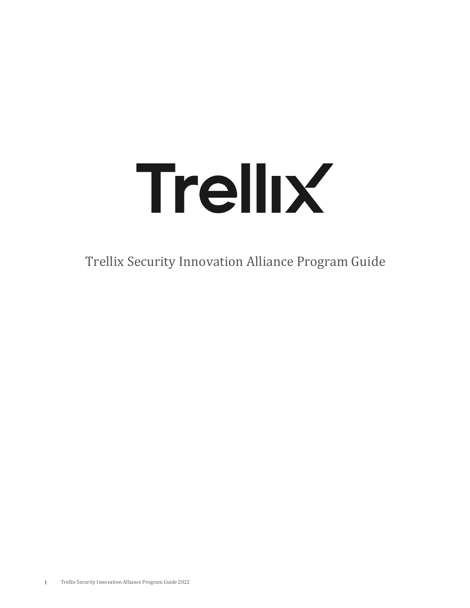# Trellix

Trellix Security Innovation Alliance Program Guide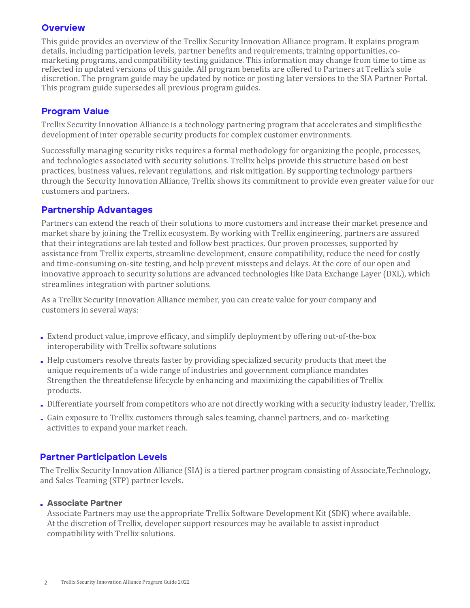# **Overview**

This guide provides an overview of the Trellix Security Innovation Alliance program. It explains program details, including participation levels, partner benefits and requirements, training opportunities, comarketing programs, and compatibility testing guidance. This information may change from time to time as reflected in updated versions of this guide. All program benefits are offered to Partners at Trellix's sole discretion. The program guide may be updated by notice or posting later versions to the SIA Partner Portal. This program guide supersedes all previous program guides.

# Program Value

Trellix Security Innovation Alliance is a technology partnering program that accelerates and simplifies the development of inter operable security products for complex customer environments.

Successfully managing security risks requires a formal methodology for organizing the people, processes, and technologies associated with security solutions. Trellix helps provide this structure based on best practices, business values, relevant regulations, and risk mitigation. By supporting technology partners through the Security Innovation Alliance, Trellix shows its commitment to provide even greater value for our customers and partners.

## Partnership Advantages

Partners can extend the reach of their solutions to more customers and increase their market presence and market share by joining the Trellix ecosystem. By working with Trellix engineering, partners are assured that their integrations are lab tested and follow best practices. Our proven processes, supported by assistance from Trellix experts, streamline development, ensure compatibility, reduce the need for costly and time-consuming on-site testing, and help prevent missteps and delays. At the core of our open and innovative approach to security solutions are advanced technologies like Data Exchange Layer (DXL), which streamlines integration with partner solutions.

As a Trellix Security Innovation Alliance member, you can create value for your company and customers in several ways:

- Extend product value, improve efficacy, and simplify deployment by offering out-of-the-box interoperability with Trellix software solutions
- Help customers resolve threats faster by providing specialized security products that meet the unique requirements of a wide range of industries and government compliance mandates Strengthen the threatdefense lifecycle by enhancing and maximizing the capabilities of Trellix products.
- Differentiate yourself from competitors who are not directly working with a security industry leader, Trellix.
- Gain exposure to Trellix customers through sales teaming, channel partners, and co- marketing activities to expand your market reach.

# Partner Participation Levels

The Trellix Security Innovation Alliance (SIA) is a tiered partner program consisting of Associate, Technology, and Sales Teaming (STP) partner levels.

## **. Associate Partner**

Associate Partners may use the appropriate Trellix Software Development Kit (SDK) where available. At the discretion of Trellix, developer support resources may be available to assist inproduct compatibility with Trellix solutions.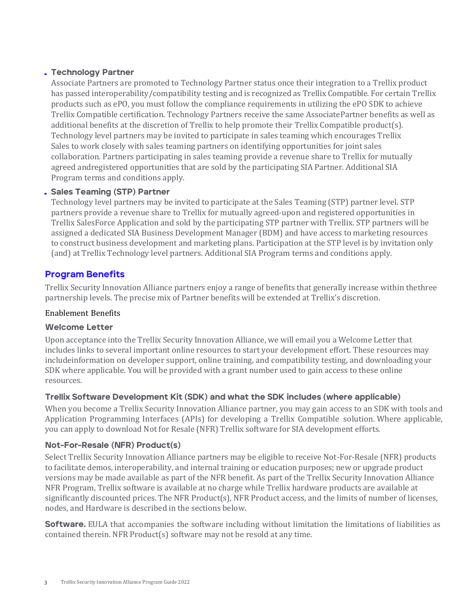## . Technology Partner

Associate Partners are promoted to Technology Partner status once their integration to a Trellix product has passed interoperability/compatibility testing and is recognized as Trellix Compatible. For certain Trellix products such as ePO, you must follow the compliance requirements in utilizing the ePO SDK to achieve Trellix Compatible certification. Technology Partners receive the same AssociatePartner benefits as well as additional benefits at the discretion of Trellix to help promote their Trellix Compatible product(s). Technology level partners may be invited to participate in sales teaming which encourages Trellix Sales to work closely with sales teaming partners on identifying opportunities for joint sales collaboration. Partners participating in sales teaming provide a revenue share to Trellix for mutually agreed andregistered opportunities that are sold by the participating SIA Partner. Additional SIA Program terms and conditions apply.

## . Sales Teaming (STP) Partner

Technology level partners may be invited to participate at the Sales Teaming (STP) partner level. STP partners provide a revenue share to Trellix for mutually agreed-upon and registered opportunities in Trellix SalesForce Application and sold by the participating STP partner with Trellix. STP partners will be assigned a dedicated SIA Business Development Manager (BDM) and have access to marketing resources to construct business development and marketing plans. Participation at the STP level is by invitation only (and) at Trellix Technology level partners. Additional SIA Program terms and conditions apply.

# Program Benefits

Trellix Security Innovation Alliance partners enjoy a range of benefits that generally increase within thethree partnership levels. The precise mix of Partner benefits will be extended at Trellix's discretion.

## Enablement Benefits

## Welcome Letter

Upon acceptance into the Trellix Security Innovation Alliance, we will email you a Welcome Letter that includes links to several important online resources to start your development effort. These resources may includeinformation on developer support, online training, and compatibility testing, and downloading your SDK where applicable. You will be provided with a grant number used to gain access to these online resources.

## Trellix Software Development Kit (SDK) and what the SDK includes (where applicable)

When you become a Trellix Security Innovation Alliance partner, you may gain access to an SDK with tools and Application Programming Interfaces (APIs) for developing a Trellix Compatible solution. Where applicable, you can apply to download Not for Resale (NFR) Trellix software for SIA development efforts.

## Not-For-Resale (NFR) Product(s)

Select Trellix Security Innovation Alliance partners may be eligible to receive Not-For-Resale (NFR) products to facilitate demos, interoperability, and internal training or education purposes; new or upgrade product versions may be made available as part of the NFR benefit. As part of the Trellix Security Innovation Alliance NFR Program, Trellix software is available at no charge while Trellix hardware products are available at significantly discounted prices. The NFR Product(s), NFR Product access, and the limits of number of licenses, nodes, and Hardware is described in the sections below.

**Software.** EULA that accompanies the software including without limitation the limitations of liabilities as contained therein. NFR Product(s) software may not be resold at any time.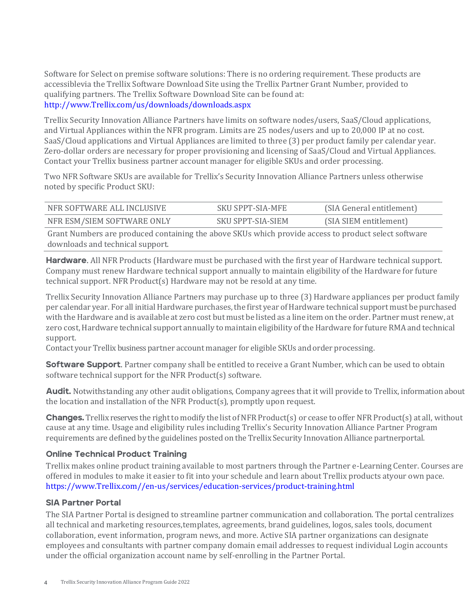Software for Select on premise software solutions: There is no ordering requirement. These products are accessiblevia the Trellix Software Download Site using the Trellix Partner Grant Number, provided to qualifying partners. The Trellix Software Download Site can be found at: http://www.Trellix.com/us/downloads/download[s.aspx](http://www.mcafee.com/us/downloads/downloads.aspx) 

Trellix Security Innovation Alliance Partners have limits on software nodes/users, SaaS/Cloud applications, and Virtual Appliances within the NFR program. Limits are 25 nodes/users and up to 20,000 IP at no cost. SaaS/Cloud applications and Virtual Appliances are limited to three (3) per product family per calendar year. Zero-dollar orders are necessary for proper provisioning and licensing of SaaS/Cloud and Virtual Appliances. Contact your Trellix business partner account manager for eligible SKUs and order processing.

Two NFR Software SKUs are available for Trellix's Security Innovation Alliance Partners unless otherwise noted by specific Product SKU:

| NFR SOFTWARE ALL INCLUSIVE | <b>SKU SPPT-SIA-MFE</b>  | (SIA General entitlement) |
|----------------------------|--------------------------|---------------------------|
| NFR ESM/SIEM SOFTWARE ONLY | <b>SKU SPPT-SIA-SIEM</b> | (SIA SIEM entitlement)    |

Grant Numbers are produced containing the above SKUs which provide access to product select software downloads and technical support.

Hardware**.** All NFR Products (Hardware must be purchased with the first year of Hardware technical support. Company must renew Hardware technical support annually to maintain eligibility of the Hardware for future technical support. NFR Product(s) Hardware may not be resold at any time.

Trellix Security Innovation Alliance Partners may purchase up to three (3) Hardware appliances per product family per calendar year. For all initial Hardware purchases, the first year of Hardware technical support must be purchased with the Hardware and is available at zero cost but must be listed as a line item on the order. Partner must renew, at zero cost, Hardware technical support annually to maintain eligibility ofthe Hardware for future RMA and technical support.

Contact your Trellix business partner account manager for eligible SKUs and order processing.

Software Support**.** Partner company shall be entitled to receive a Grant Number, which can be used to obtain software technical support for the NFR Product(s) software.

Audit. Notwithstanding any other audit obligations, Company agrees that it will provide to Trellix, information about the location and installation of the NFR Product(s), promptly upon request.

Changes. Trellix reserves the right to modify the list of NFR Product(s) or cease to offer NFR Product(s) at all, without cause at any time. Usage and eligibility rules including Trellix's Security Innovation Alliance Partner Program requirements are defined by the guidelines posted on the Trellix Security Innovation Alliance partner portal.

## Online Technical Product Training

Trellix makes online product training available to most partners through the Partner e-Learning Center. Courses are offered in modules to make it easier to fit into your schedule and learn about Trellix products atyour own pace. [https://www.Trellix.com//en-us/services/education-services/product-training.html](https://mcafee.sumtotalsystems.com/sumtotal/learner/home/index%3FFromLogin%3D1) 

## SIA Partner Portal

The SIA Partner Portal is designed to streamline partner communication and collaboration. The portal centralizes all technical and marketing resources, templates, agreements, brand guidelines, logos, sales tools, document collaboration, event information, program news, and more. Active SIA partner organizations can designate employees and consultants with partner company domain email addresses to request individual Login accounts under the official organization account name by self-enrolling in the Partner Portal.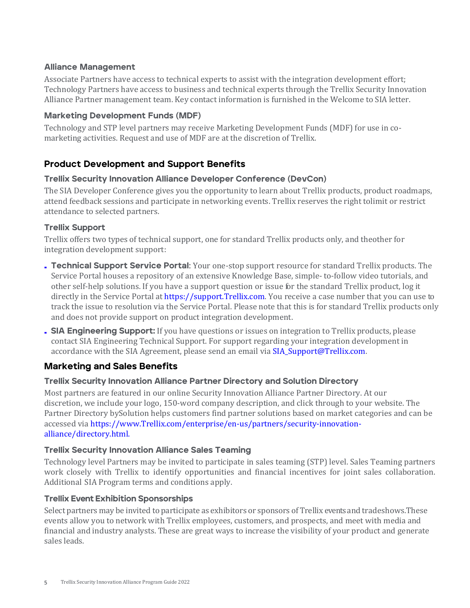## Alliance Management

Associate Partners have access to technical experts to assist with the integration development effort; Technology Partners have access to business and technical experts through the Trellix Security Innovation Alliance Partner management team. Key contact information is furnished in the Welcome to SIA letter.

## Marketing Development Funds (MDF)

Technology and STP level partners may receive Marketing Development Funds (MDF) for use in comarketing activities. Request and use of MDF are at the discretion of Trellix.

# Product Development and Support Benefits

## Trellix Security Innovation Alliance Developer Conference (DevCon)

The SIA Developer Conference gives you the opportunity to learn about Trellix products, product roadmaps, attend feedback sessions and participate in networking events. Trellix reserves the right tolimit or restrict attendance to selected partners.

## Trellix Support

Trellix offers two types of technical support, one for standard Trellix products only, and theother for integration development support:

- Technical Support Service Portal**:** Your one-stop support resource for standard Trellix products. The Service Portal houses a repository of an extensive Knowledge Base, simple- to-follow video tutorials, and other self-help solutions. If you have a support question or issue for the standard Trellix product, log it directly in the Service Portal at [https://support.Trellix.com.](https://support.mcafee.com/) You receive a case number that you can use to track the issue to resolution via the Service Portal. Please note that this is for standard Trellix products only and does not provide support on product integration development.
- SIA Engineering Support: If you have questions or issues on integration to Trellix products, please contact SIA Engineering Technical Support. For support regarding your integration development in accordance with the SIA Agreement, please send an email vi[a SIA\\_Support@Trellix.com.](mailto:SIA_Support@McAfee.com)

# Marketing and Sales Benefits

## Trellix Security Innovation Alliance Partner Directory and Solution Directory

Most partners are featured in our online Security Innovation Alliance Partner Directory. At our discretion, we include your logo, 150-word company description, and click through to your website. The Partner Directory bySolution helps customers find partner solutions based on market categories and can be accessed via ht[tps://www.Trellix.com/enterprise/en-us/partners/security-innovation](https://www.trellix.com/enterprise/en-us/partners/security-innovation-alliance/directory.html)[alliance/directory.html.](https://www.trellix.com/enterprise/en-us/partners/security-innovation-alliance/directory.html)

## Trellix Security Innovation Alliance Sales Teaming

Technology level Partners may be invited to participate in sales teaming (STP) level. Sales Teaming partners work closely with Trellix to identify opportunities and financial incentives for joint sales collaboration. Additional SIA Program terms and conditions apply.

## Trellix Event Exhibition Sponsorships

Select partners may be invited to participate as exhibitors or sponsors of Trellix events and tradeshows. These events allow you to network with Trellix employees, customers, and prospects, and meet with media and financial and industry analysts. These are great ways to increase the visibility of your product and generate sales leads.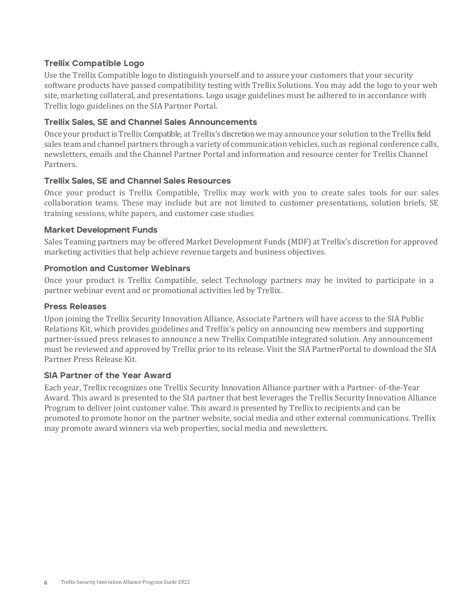## Trellix Compatible Logo

Use the Trellix Compatible logo to distinguish yourself and to assure your customers that your security software products have passed compatibility testing with Trellix Solutions. You may add the logo to your web site, marketing collateral, and presentations. Logo usage guidelines must be adhered to in accordance with Trellix logo guidelines on the SIA Partner Portal.

## Trellix Sales, SE and Channel Sales Announcements

Once your productis Trellix Compatible, at Trellix's discretionwe may announce your solution to the Trellix field sales team and channel partners through a variety of communication vehicles, such as regional conference calls, newsletters, emails and the Channel Partner Portal and information and resource center for Trellix Channel Partners.

## Trellix Sales, SE and Channel Sales Resources

Once your product is Trellix Compatible, Trellix may work with you to create sales tools for our sales collaboration teams. These may include but are not limited to customer presentations, solution briefs, SE training sessions, white papers, and customer case studies.

## Market Development Funds

Sales Teaming partners may be offered Market Development Funds (MDF) at Trellix's discretion for approved marketing activities that help achieve revenue targets and business objectives.

#### Promotion and Customer Webinars

Once your product is Trellix Compatible, select Technology partners may be invited to participate in a partner webinar event and or promotional activities led by Trellix.

#### Press Releases

Upon joining the Trellix Security Innovation Alliance, Associate Partners will have access to the SIA Public Relations Kit, which provides guidelines and Trellix's policy on announcing new members and supporting partner-issued press releases to announce a new Trellix Compatible integrated solution. Any announcement must be reviewed and approved by Trellix prior to its release. Visit the SIA PartnerPortal to download the SIA Partner Press Release Kit.

## SIA Partner of the Year Award

Each year, Trellix recognizes one Trellix Security Innovation Alliance partner with a Partner- of-the-Year Award. This award is presented to the SIA partner that best leverages the Trellix Security Innovation Alliance Program to deliver joint customer value. This award is presented by Trellix to recipients and can be promoted to promote honor on the partner website, social media and other external communications. Trellix may promote award winners via web properties, social media and newsletters.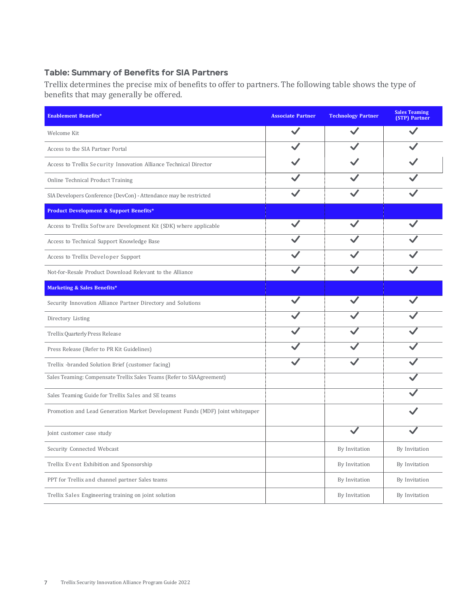## Table: Summary of Benefits for SIA Partners

Trellix determines the precise mix of benefits to offer to partners. The following table shows the type of benefits that may generally be offered.

| <b>Enablement Benefits*</b>                                                   | <b>Associate Partner</b> | <b>Technology Partner</b> | <b>Sales Teaming</b><br>(STP) Partner |
|-------------------------------------------------------------------------------|--------------------------|---------------------------|---------------------------------------|
| Welcome Kit                                                                   |                          |                           |                                       |
| Access to the SIA Partner Portal                                              |                          |                           |                                       |
| Access to Trellix Security Innovation Alliance Technical Director             |                          |                           |                                       |
| Online Technical Product Training                                             |                          |                           |                                       |
| SIA Developers Conference (DevCon) - Attendance may be restricted             |                          |                           |                                       |
| <b>Product Development &amp; Support Benefits*</b>                            |                          |                           |                                       |
| Access to Trellix Software Development Kit (SDK) where applicable             |                          |                           |                                       |
| Access to Technical Support Knowledge Base                                    |                          |                           |                                       |
| Access to Trellix Developer Support                                           |                          |                           |                                       |
| Not-for-Resale Product Download Relevant to the Alliance                      |                          |                           |                                       |
| <b>Marketing &amp; Sales Benefits*</b>                                        |                          |                           |                                       |
| Security Innovation Alliance Partner Directory and Solutions                  |                          |                           |                                       |
| Directory Listing                                                             |                          |                           |                                       |
| Trellix Quarterly Press Release                                               |                          |                           |                                       |
| Press Release (Refer to PR Kit Guidelines)                                    |                          |                           |                                       |
| Trellix -branded Solution Brief (customer facing)                             |                          |                           |                                       |
| Sales Teaming: Compensate Trellix Sales Teams (Refer to SIAAgreement)         |                          |                           |                                       |
| Sales Teaming Guide for Trellix Sales and SE teams                            |                          |                           |                                       |
| Promotion and Lead Generation Market Development Funds (MDF) Joint whitepaper |                          |                           |                                       |
| Joint customer case study                                                     |                          |                           |                                       |
| Security Connected Webcast                                                    |                          | By Invitation             | By Invitation                         |
| Trellix Event Exhibition and Sponsorship                                      |                          | By Invitation             | By Invitation                         |
| PPT for Trellix and channel partner Sales teams                               |                          | By Invitation             | By Invitation                         |
| Trellix Sales Engineering training on joint solution                          |                          | By Invitation             | By Invitation                         |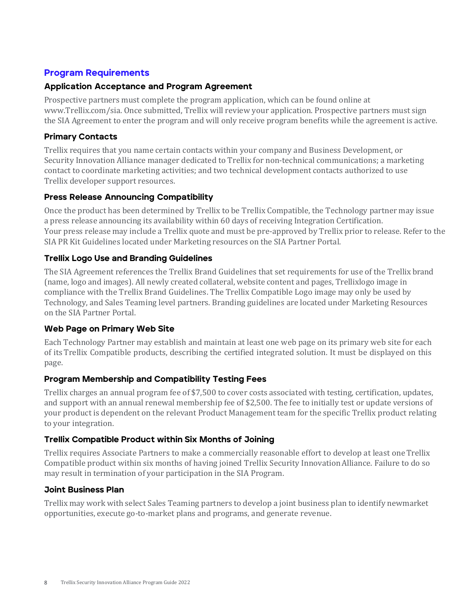# Program Requirements

## Application Acceptance and Program Agreement

Prospective partners must complete the program application, which can be found online at [www.Trellix.com/sia.](http://www.mcafee.com/sia) Once submitted, Trellix will review your application. Prospective partners must sign the SIA Agreement to enter the program and will only receive program benefits while the agreement is active.

## Primary Contacts

Trellix requires that you name certain contacts within your company and Business Development, or Security Innovation Alliance manager dedicated to Trellix for non-technical communications; a marketing contact to coordinate marketing activities; and two technical development contacts authorized to use Trellix developer support resources.

## Press Release Announcing Compatibility

Once the product has been determined by Trellix to be Trellix Compatible, the Technology partner may issue a press release announcing its availability within 60 days of receiving Integration Certification. Your press release may include a Trellix quote and must be pre-approved by Trellix prior to release. Refer to the SIA PR Kit Guidelines located under Marketing resources on the SIA Partner Portal.

## Trellix Logo Use and Branding Guidelines

The SIA Agreement references the Trellix Brand Guidelines that set requirements for use of the Trellix brand (name, logo and images). All newly created collateral, website content and pages, Trellixlogo image in compliance with the Trellix Brand Guidelines. The Trellix Compatible Logo image may only be used by Technology, and Sales Teaming level partners. Branding guidelines are located under Marketing Resources on the SIA Partner Portal.

## Web Page on Primary Web Site

Each Technology Partner may establish and maintain at least one web page on its primary web site for each of its Trellix Compatible products, describing the certified integrated solution. It must be displayed on this page.

## Program Membership and Compatibility Testing Fees

Trellix charges an annual program fee of \$7,500 to cover costs associated with testing, certification, updates, and support with an annual renewal membership fee of \$2,500. The fee to initially test or update versions of your product is dependent on the relevant Product Management team for the specific Trellix product relating to your integration.

## Trellix Compatible Product within Six Months of Joining

Trellix requires Associate Partners to make a commercially reasonable effort to develop at least oneTrellix Compatible product within six months of having joined Trellix Security InnovationAlliance. Failure to do so may result in termination of your participation in the SIA Program.

## Joint Business Plan

Trellix may work with select Sales Teaming partners to develop a joint business plan to identify newmarket opportunities, execute go-to-market plans and programs, and generate revenue.